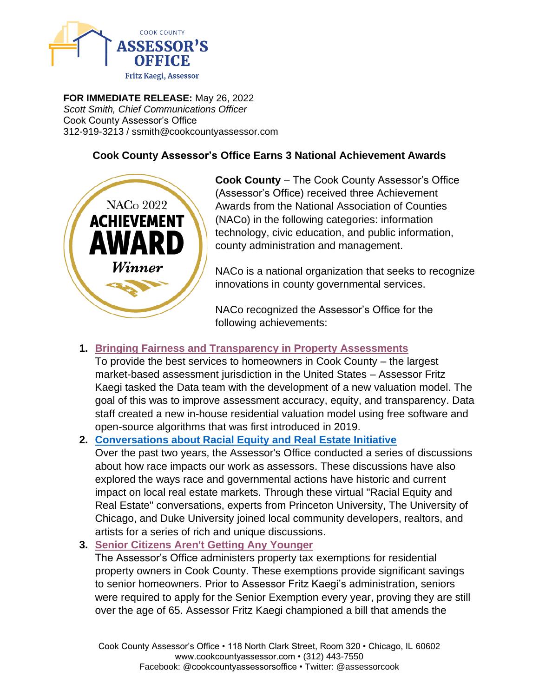

**FOR IMMEDIATE RELEASE:** May 26, 2022 *Scott Smith, Chief Communications Officer* Cook County Assessor's Office 312-919-3213 / ssmith@cookcountyassessor.com

## **Cook County Assessor's Office Earns 3 National Achievement Awards**



**Cook County** – The Cook County Assessor's Office (Assessor's Office) received three Achievement Awards from the National Association of Counties (NACo) in the following categories: information technology, civic education, and public information, county administration and management.

NACo is a national organization that seeks to recognize innovations in county governmental services.

NACo recognized the Assessor's Office for the following achievements:

## **1. [Bringing Fairness and Transparency in Property Assessments](https://www.naco.org/resources/award-programs/bringing-fairness-and-transparency-property-assessments)**

To provide the best services to homeowners in Cook County – the largest market-based assessment jurisdiction in the United States – Assessor Fritz Kaegi tasked the Data team with the development of a new valuation model. The goal of this was to improve assessment accuracy, equity, and transparency. Data staff created a new in-house residential valuation model using free software and open-source algorithms that was first introduced in 2019.

## **2. [Conversations about Racial Equity and Real Estate Initiative](https://www.naco.org/resources/award-programs/conversations-about-racial-equity-and-real-estate-initiative)**

Over the past two years, the Assessor's Office conducted a series of discussions about how race impacts our work as assessors. These discussions have also explored the ways race and governmental actions have historic and current impact on local real estate markets. Through these virtual "Racial Equity and Real Estate" conversations, experts from Princeton University, The University of Chicago, and Duke University joined local community developers, realtors, and artists for a series of rich and unique discussions.

## **3. [Senior Citizens Aren't Getting Any Younger](https://www.naco.org/resources/award-programs/senior-citizens-arent-getting-any-younger)**

The Assessor's Office administers property tax exemptions for residential property owners in Cook County. These exemptions provide significant savings to senior homeowners. Prior to Assessor Fritz Kaegi's administration, seniors were required to apply for the Senior Exemption every year, proving they are still over the age of 65. Assessor Fritz Kaegi championed a bill that amends the